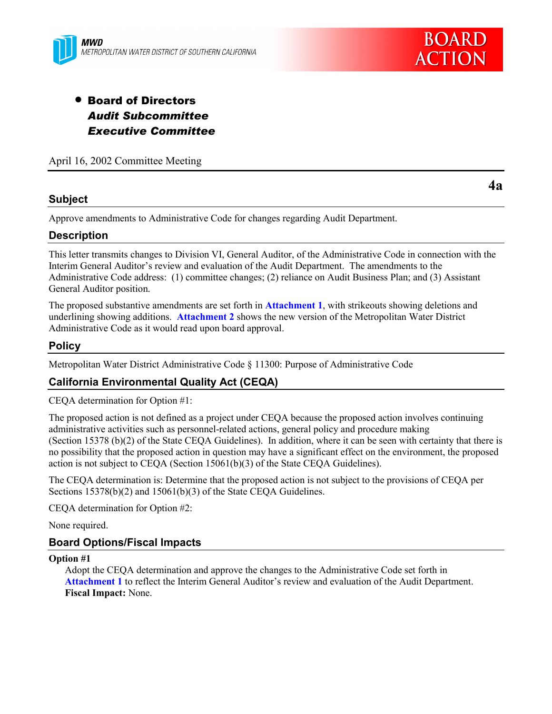

# • Board of Directors *Audit Subcommittee Executive Committee*

April 16, 2002 Committee Meeting

## **Subject**

Approve amendments to Administrative Code for changes regarding Audit Department.

## **Description**

This letter transmits changes to Division VI, General Auditor, of the Administrative Code in connection with the Interim General Auditor's review and evaluation of the Audit Department. The amendments to the Administrative Code address: (1) committee changes; (2) reliance on Audit Business Plan; and (3) Assistant General Auditor position.

The proposed substantive amendments are set forth in **Attachment 1**, with strikeouts showing deletions and underlining showing additions. **Attachment 2** shows the new version of the Metropolitan Water District Administrative Code as it would read upon board approval.

## **Policy**

Metropolitan Water District Administrative Code § 11300: Purpose of Administrative Code

## **California Environmental Quality Act (CEQA)**

CEQA determination for Option #1:

The proposed action is not defined as a project under CEQA because the proposed action involves continuing administrative activities such as personnel-related actions, general policy and procedure making (Section 15378 (b)(2) of the State CEQA Guidelines). In addition, where it can be seen with certainty that there is no possibility that the proposed action in question may have a significant effect on the environment, the proposed action is not subject to CEQA (Section 15061(b)(3) of the State CEQA Guidelines).

The CEQA determination is: Determine that the proposed action is not subject to the provisions of CEQA per Sections 15378(b)(2) and 15061(b)(3) of the State CEQA Guidelines.

CEQA determination for Option #2:

None required.

## **Board Options/Fiscal Impacts**

#### **Option #1**

Adopt the CEQA determination and approve the changes to the Administrative Code set forth in **Attachment 1** to reflect the Interim General Auditor's review and evaluation of the Audit Department. **Fiscal Impact:** None.

**4a**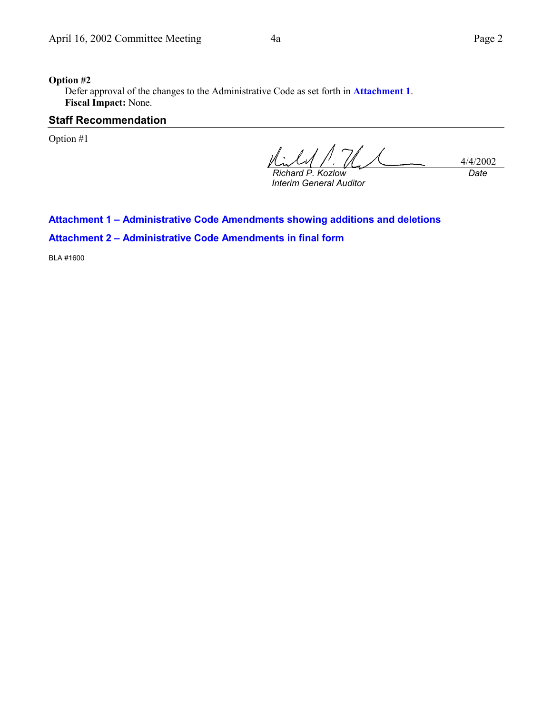#### **Option #2**

Defer approval of the changes to the Administrative Code as set forth in **Attachment 1**. **Fiscal Impact:** None.

#### **Staff Recommendation**

Option #1

4/4/2002 *Richard P. Kozlow Date*

*Interim General Auditor*

## **Attachment 1 – Administrative Code Amendments showing additions and deletions**

**Attachment 2 – Administrative Code Amendments in final form**

BLA #1600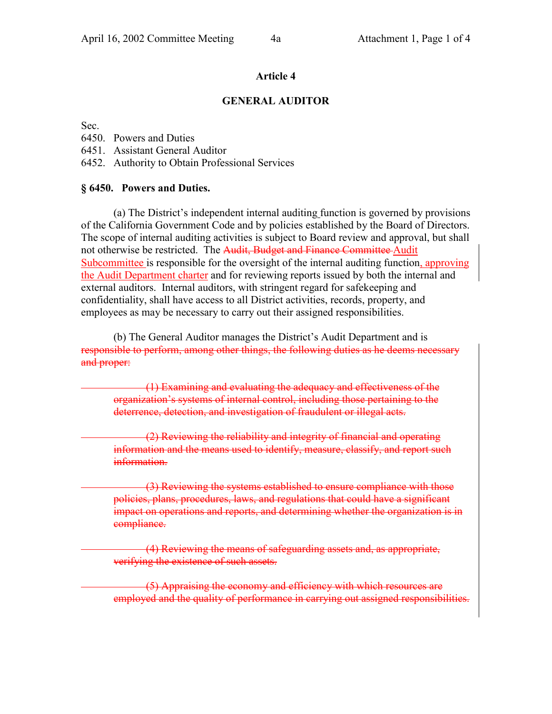#### **Article 4**

#### **GENERAL AUDITOR**

Sec.

6450. Powers and Duties

6451. Assistant General Auditor

6452. Authority to Obtain Professional Services

#### **§ 6450. Powers and Duties.**

(a) The District's independent internal auditing function is governed by provisions of the California Government Code and by policies established by the Board of Directors. The scope of internal auditing activities is subject to Board review and approval, but shall not otherwise be restricted. The Audit, Budget and Finance Committee Audit Subcommittee is responsible for the oversight of the internal auditing function, approving the Audit Department charter and for reviewing reports issued by both the internal and external auditors. Internal auditors, with stringent regard for safekeeping and confidentiality, shall have access to all District activities, records, property, and employees as may be necessary to carry out their assigned responsibilities.

(b) The General Auditor manages the District's Audit Department and is responsible to perform, among other things, the following duties as he deems necessary and proper:

 (1) Examining and evaluating the adequacy and effectiveness of the organization's systems of internal control, including those pertaining to the deterrence, detection, and investigation of fraudulent or illegal acts.

 (2) Reviewing the reliability and integrity of financial and operating information and the means used to identify, measure, classify, and report such information.

 (3) Reviewing the systems established to ensure compliance with those policies, plans, procedures, laws, and regulations that could have a significant impact on operations and reports, and determining whether the organization is in compliance.

 (4) Reviewing the means of safeguarding assets and, as appropriate, verifying the existence of such assets.

 (5) Appraising the economy and efficiency with which resources are employed and the quality of performance in carrying out assigned responsibilities.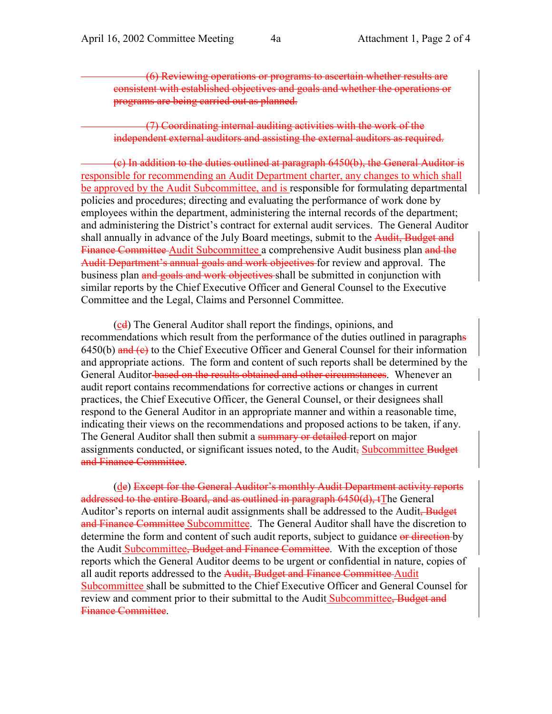(6) Reviewing operations or programs to ascertain whether results are consistent with established objectives and goals and whether the operations or programs are being carried out as planned.

 (7) Coordinating internal auditing activities with the work of the independent external auditors and assisting the external auditors as required.

 (c) In addition to the duties outlined at paragraph 6450(b), the General Auditor is responsible for recommending an Audit Department charter, any changes to which shall be approved by the Audit Subcommittee, and is responsible for formulating departmental policies and procedures; directing and evaluating the performance of work done by employees within the department, administering the internal records of the department; and administering the District's contract for external audit services. The General Auditor shall annually in advance of the July Board meetings, submit to the Audit, Budget and Finance Committee Audit Subcommittee a comprehensive Audit business plan and the Audit Department's annual goals and work objectives for review and approval. The business plan and goals and work objectives shall be submitted in conjunction with similar reports by the Chief Executive Officer and General Counsel to the Executive Committee and the Legal, Claims and Personnel Committee.

(cd) The General Auditor shall report the findings, opinions, and recommendations which result from the performance of the duties outlined in paragraphs  $6450(b)$  and  $(e)$  to the Chief Executive Officer and General Counsel for their information and appropriate actions. The form and content of such reports shall be determined by the General Auditor based on the results obtained and other circumstances. Whenever an audit report contains recommendations for corrective actions or changes in current practices, the Chief Executive Officer, the General Counsel, or their designees shall respond to the General Auditor in an appropriate manner and within a reasonable time, indicating their views on the recommendations and proposed actions to be taken, if any. The General Auditor shall then submit a summary or detailed report on major assignments conducted, or significant issues noted, to the Audit, Subcommittee Budget and Finance Committee.

(de) Except for the General Auditor's monthly Audit Department activity reports addressed to the entire Board, and as outlined in paragraph 6450(d), tThe General Auditor's reports on internal audit assignments shall be addressed to the Audit. Budget and Finance Committee Subcommittee. The General Auditor shall have the discretion to determine the form and content of such audit reports, subject to guidance or direction by the Audit Subcommittee, Budget and Finance Committee. With the exception of those reports which the General Auditor deems to be urgent or confidential in nature, copies of all audit reports addressed to the Audit. Budget and Finance Committee Audit Subcommittee shall be submitted to the Chief Executive Officer and General Counsel for review and comment prior to their submittal to the Audit Subcommittee, Budget and Finance Committee.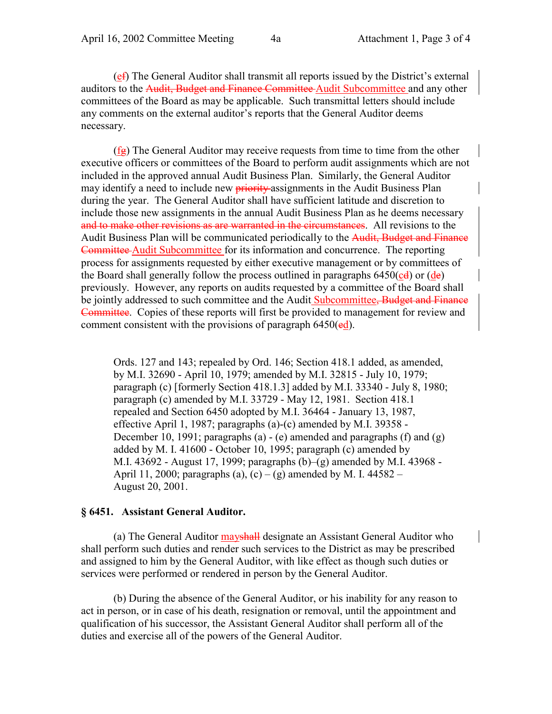(ef) The General Auditor shall transmit all reports issued by the District's external auditors to the Audit, Budget and Finance Committee Audit Subcommittee and any other committees of the Board as may be applicable. Such transmittal letters should include any comments on the external auditor's reports that the General Auditor deems necessary.

 $(f_{\mathbf{g}})$  The General Auditor may receive requests from time to time from the other executive officers or committees of the Board to perform audit assignments which are not included in the approved annual Audit Business Plan. Similarly, the General Auditor may identify a need to include new **priority**-assignments in the Audit Business Plan during the year. The General Auditor shall have sufficient latitude and discretion to include those new assignments in the annual Audit Business Plan as he deems necessary and to make other revisions as are warranted in the circumstances. All revisions to the Audit Business Plan will be communicated periodically to the Audit, Budget and Finance Committee Audit Subcommittee for its information and concurrence. The reporting process for assignments requested by either executive management or by committees of the Board shall generally follow the process outlined in paragraphs  $6450(\text{cd})$  or  $(\text{de})$ previously. However, any reports on audits requested by a committee of the Board shall be jointly addressed to such committee and the Audit Subcommittee. Budget and Finance Committee. Copies of these reports will first be provided to management for review and comment consistent with the provisions of paragraph  $6450\text{(ed)}$ .

Ords. 127 and 143; repealed by Ord. 146; Section 418.1 added, as amended, by M.I. 32690 - April 10, 1979; amended by M.I. 32815 - July 10, 1979; paragraph (c) [formerly Section 418.1.3] added by M.I. 33340 - July 8, 1980; paragraph (c) amended by M.I. 33729 - May 12, 1981. Section 418.1 repealed and Section 6450 adopted by M.I. 36464 - January 13, 1987, effective April 1, 1987; paragraphs (a)-(c) amended by M.I. 39358 - December 10, 1991; paragraphs (a) - (e) amended and paragraphs (f) and (g) added by M. I. 41600 - October 10, 1995; paragraph (c) amended by M.I. 43692 - August 17, 1999; paragraphs (b)–(g) amended by M.I. 43968 - April 11, 2000; paragraphs (a), (c) – (g) amended by M. I. 44582 – August 20, 2001.

#### **§ 6451. Assistant General Auditor.**

(a) The General Auditor mayshall designate an Assistant General Auditor who shall perform such duties and render such services to the District as may be prescribed and assigned to him by the General Auditor, with like effect as though such duties or services were performed or rendered in person by the General Auditor.

(b) During the absence of the General Auditor, or his inability for any reason to act in person, or in case of his death, resignation or removal, until the appointment and qualification of his successor, the Assistant General Auditor shall perform all of the duties and exercise all of the powers of the General Auditor.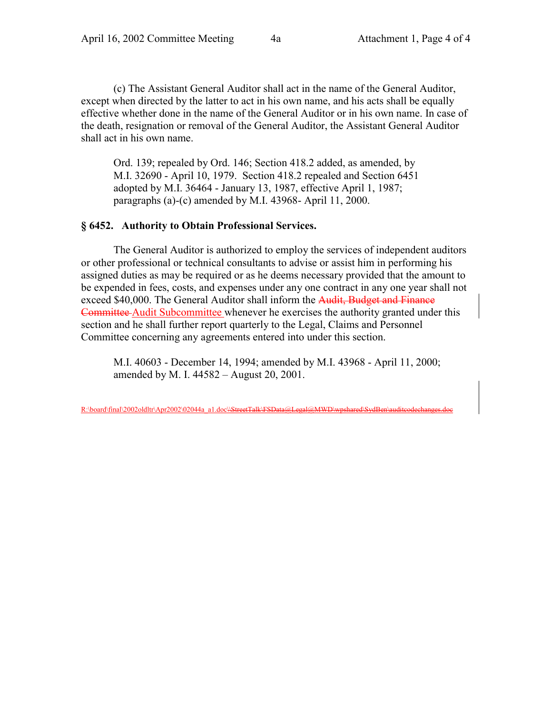(c) The Assistant General Auditor shall act in the name of the General Auditor, except when directed by the latter to act in his own name, and his acts shall be equally effective whether done in the name of the General Auditor or in his own name. In case of the death, resignation or removal of the General Auditor, the Assistant General Auditor shall act in his own name.

Ord. 139; repealed by Ord. 146; Section 418.2 added, as amended, by M.I. 32690 - April 10, 1979. Section 418.2 repealed and Section 6451 adopted by M.I. 36464 - January 13, 1987, effective April 1, 1987; paragraphs (a)-(c) amended by M.I. 43968- April 11, 2000.

#### **§ 6452. Authority to Obtain Professional Services.**

The General Auditor is authorized to employ the services of independent auditors or other professional or technical consultants to advise or assist him in performing his assigned duties as may be required or as he deems necessary provided that the amount to be expended in fees, costs, and expenses under any one contract in any one year shall not exceed \$40,000. The General Auditor shall inform the Audit, Budget and Finance Committee Audit Subcommittee whenever he exercises the authority granted under this section and he shall further report quarterly to the Legal, Claims and Personnel Committee concerning any agreements entered into under this section.

M.I. 40603 - December 14, 1994; amended by M.I. 43968 - April 11, 2000; amended by M. I. 44582 – August 20, 2001.

R:\board\final\2002oldltr\Apr2002\02044a\_a1.doc\\StreetTalk\FSData@Legal@MWD\wpshared\SydBen\auditcodechi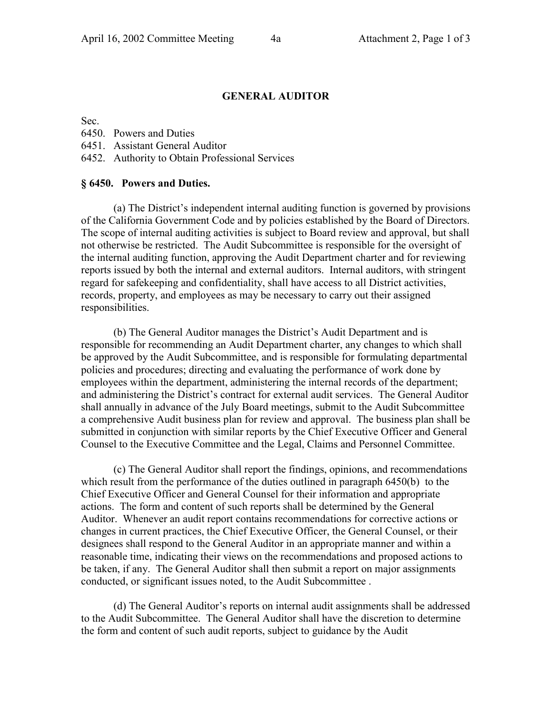### **GENERAL AUDITOR**

Sec.

| 6450. Powers and Duties |  |
|-------------------------|--|
|-------------------------|--|

6451. Assistant General Auditor

6452. Authority to Obtain Professional Services

#### **§ 6450. Powers and Duties.**

(a) The District's independent internal auditing function is governed by provisions of the California Government Code and by policies established by the Board of Directors. The scope of internal auditing activities is subject to Board review and approval, but shall not otherwise be restricted. The Audit Subcommittee is responsible for the oversight of the internal auditing function, approving the Audit Department charter and for reviewing reports issued by both the internal and external auditors. Internal auditors, with stringent regard for safekeeping and confidentiality, shall have access to all District activities, records, property, and employees as may be necessary to carry out their assigned responsibilities.

(b) The General Auditor manages the District's Audit Department and is responsible for recommending an Audit Department charter, any changes to which shall be approved by the Audit Subcommittee, and is responsible for formulating departmental policies and procedures; directing and evaluating the performance of work done by employees within the department, administering the internal records of the department; and administering the District's contract for external audit services. The General Auditor shall annually in advance of the July Board meetings, submit to the Audit Subcommittee a comprehensive Audit business plan for review and approval. The business plan shall be submitted in conjunction with similar reports by the Chief Executive Officer and General Counsel to the Executive Committee and the Legal, Claims and Personnel Committee.

(c) The General Auditor shall report the findings, opinions, and recommendations which result from the performance of the duties outlined in paragraph 6450(b) to the Chief Executive Officer and General Counsel for their information and appropriate actions. The form and content of such reports shall be determined by the General Auditor. Whenever an audit report contains recommendations for corrective actions or changes in current practices, the Chief Executive Officer, the General Counsel, or their designees shall respond to the General Auditor in an appropriate manner and within a reasonable time, indicating their views on the recommendations and proposed actions to be taken, if any. The General Auditor shall then submit a report on major assignments conducted, or significant issues noted, to the Audit Subcommittee .

(d) The General Auditor's reports on internal audit assignments shall be addressed to the Audit Subcommittee. The General Auditor shall have the discretion to determine the form and content of such audit reports, subject to guidance by the Audit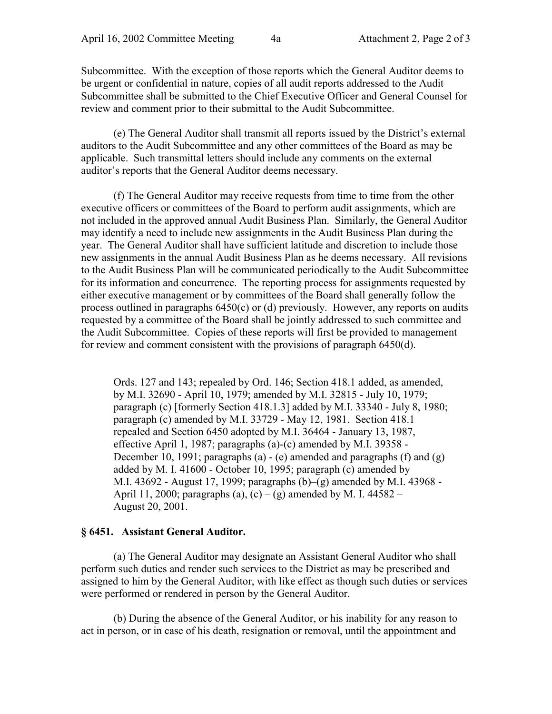Subcommittee. With the exception of those reports which the General Auditor deems to be urgent or confidential in nature, copies of all audit reports addressed to the Audit Subcommittee shall be submitted to the Chief Executive Officer and General Counsel for review and comment prior to their submittal to the Audit Subcommittee.

(e) The General Auditor shall transmit all reports issued by the District's external auditors to the Audit Subcommittee and any other committees of the Board as may be applicable. Such transmittal letters should include any comments on the external auditor's reports that the General Auditor deems necessary.

(f) The General Auditor may receive requests from time to time from the other executive officers or committees of the Board to perform audit assignments, which are not included in the approved annual Audit Business Plan. Similarly, the General Auditor may identify a need to include new assignments in the Audit Business Plan during the year. The General Auditor shall have sufficient latitude and discretion to include those new assignments in the annual Audit Business Plan as he deems necessary. All revisions to the Audit Business Plan will be communicated periodically to the Audit Subcommittee for its information and concurrence. The reporting process for assignments requested by either executive management or by committees of the Board shall generally follow the process outlined in paragraphs 6450(c) or (d) previously. However, any reports on audits requested by a committee of the Board shall be jointly addressed to such committee and the Audit Subcommittee. Copies of these reports will first be provided to management for review and comment consistent with the provisions of paragraph 6450(d).

Ords. 127 and 143; repealed by Ord. 146; Section 418.1 added, as amended, by M.I. 32690 - April 10, 1979; amended by M.I. 32815 - July 10, 1979; paragraph (c) [formerly Section 418.1.3] added by M.I. 33340 - July 8, 1980; paragraph (c) amended by M.I. 33729 - May 12, 1981. Section 418.1 repealed and Section 6450 adopted by M.I. 36464 - January 13, 1987, effective April 1, 1987; paragraphs (a)-(c) amended by M.I. 39358 - December 10, 1991; paragraphs (a) - (e) amended and paragraphs (f) and (g) added by M. I. 41600 - October 10, 1995; paragraph (c) amended by M.I. 43692 - August 17, 1999; paragraphs (b)–(g) amended by M.I. 43968 - April 11, 2000; paragraphs (a), (c) – (g) amended by M. I. 44582 – August 20, 2001.

#### **§ 6451. Assistant General Auditor.**

(a) The General Auditor may designate an Assistant General Auditor who shall perform such duties and render such services to the District as may be prescribed and assigned to him by the General Auditor, with like effect as though such duties or services were performed or rendered in person by the General Auditor.

(b) During the absence of the General Auditor, or his inability for any reason to act in person, or in case of his death, resignation or removal, until the appointment and